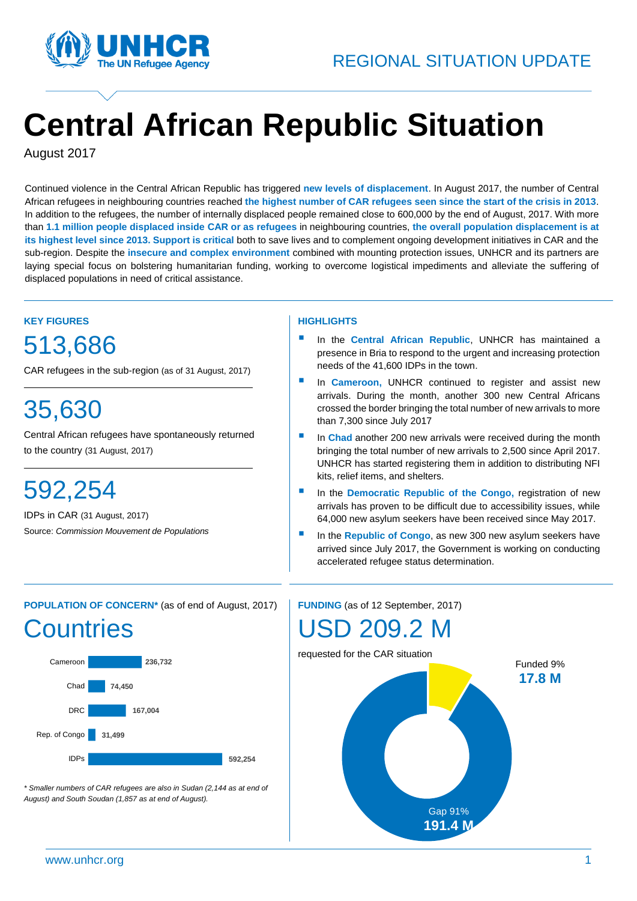

# **Central African Republic Situation**

August 2017

\ Continued violence in the Central African Republic has triggered **new levels of displacement**. In August 2017, the number of Central ( African refugees in neighbouring countries reached **the highest number of CAR refugees seen since the start of the crisis in 2013**. In addition to the refugees, the number of internally displaced people remained close to 600,000 by the end of August, 2017. With more than **1.1 million people displaced inside CAR or as refugees** in neighbouring countries, **the overall population displacement is at its highest level since 2013. Support is critical** both to save lives and to complement ongoing development initiatives in CAR and the sub-region. Despite the **insecure and complex environment** combined with mounting protection issues, UNHCR and its partners are laying special focus on bolstering humanitarian funding, working to overcome logistical impediments and alleviate the suffering of displaced populations in need of critical assistance.

### **KEY FIGURES** 513,686

CAR refugees in the sub-region (as of 31 August, 2017)

# 35,630

Central African refugees have spontaneously returned to the country (31 August, 2017)

# 592,254

IDPs in CAR (31 August, 2017) Source: *Commission Mouvement de Populations*

#### **HIGHLIGHTS**

- **In the Central African Republic, UNHCR has maintained a** presence in Bria to respond to the urgent and increasing protection needs of the 41,600 IDPs in the town.
- **In Cameroon, UNHCR** continued to register and assist new arrivals. During the month, another 300 new Central Africans crossed the border bringing the total number of new arrivals to more than 7,300 since July 2017
- In **Chad** another 200 new arrivals were received during the month bringing the total number of new arrivals to 2,500 since April 2017. UNHCR has started registering them in addition to distributing NFI kits, relief items, and shelters.
- **In the Democratic Republic of the Congo, registration of new** arrivals has proven to be difficult due to accessibility issues, while 64,000 new asylum seekers have been received since May 2017.
- **IDED** In the **Republic of Congo**, as new 300 new asylum seekers have arrived since July 2017, the Government is working on conducting accelerated refugee status determination.

## **POPULATION OF CONCERN\*** (as of end of August, 2017) **Countries**



*\* Smaller numbers of CAR refugees are also in Sudan (2,144 as at end of August) and South Soudan (1,857 as at end of August).*

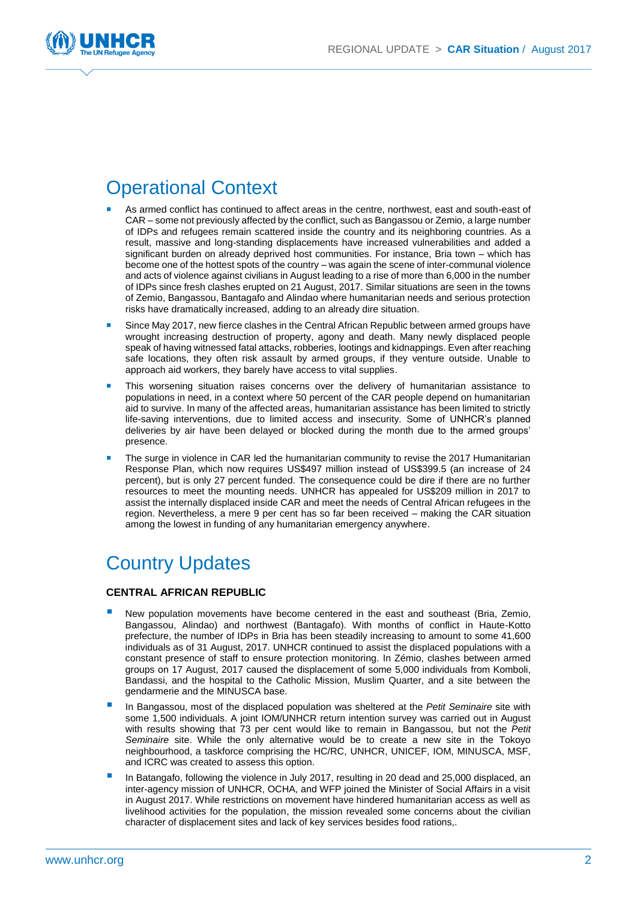

### Operational Context

- As armed conflict has continued to affect areas in the centre, northwest, east and south-east of CAR – some not previously affected by the conflict, such as Bangassou or Zemio, a large number of IDPs and refugees remain scattered inside the country and its neighboring countries. As a result, massive and long-standing displacements have increased vulnerabilities and added a significant burden on already deprived host communities. For instance, Bria town – which has become one of the hottest spots of the country – was again the scene of inter-communal violence and acts of violence against civilians in August leading to a rise of more than 6,000 in the number of IDPs since fresh clashes erupted on 21 August, 2017. Similar situations are seen in the towns of Zemio, Bangassou, Bantagafo and Alindao where humanitarian needs and serious protection risks have dramatically increased, adding to an already dire situation.
- Since May 2017, new fierce clashes in the Central African Republic between armed groups have wrought increasing destruction of property, agony and death. Many newly displaced people speak of having witnessed fatal attacks, robberies, lootings and kidnappings. Even after reaching safe locations, they often risk assault by armed groups, if they venture outside. Unable to approach aid workers, they barely have access to vital supplies.
- This worsening situation raises concerns over the delivery of humanitarian assistance to populations in need, in a context where 50 percent of the CAR people depend on humanitarian aid to survive. In many of the affected areas, humanitarian assistance has been limited to strictly life-saving interventions, due to limited access and insecurity. Some of UNHCR's planned deliveries by air have been delayed or blocked during the month due to the armed groups' presence.
- The surge in violence in CAR led the humanitarian community to revise the 2017 Humanitarian Response Plan, which now requires US\$497 million instead of US\$399.5 (an increase of 24 percent), but is only 27 percent funded. The consequence could be dire if there are no further resources to meet the mounting needs. UNHCR has appealed for US\$209 million in 2017 to assist the internally displaced inside CAR and meet the needs of Central African refugees in the region. Nevertheless, a mere 9 per cent has so far been received – making the CAR situation among the lowest in funding of any humanitarian emergency anywhere.

### Country Updates

#### **CENTRAL AFRICAN REPUBLIC**

- New population movements have become centered in the east and southeast (Bria, Zemio, Bangassou, Alindao) and northwest (Bantagafo). With months of conflict in Haute-Kotto prefecture, the number of IDPs in Bria has been steadily increasing to amount to some 41,600 individuals as of 31 August, 2017. UNHCR continued to assist the displaced populations with a constant presence of staff to ensure protection monitoring. In Zémio, clashes between armed groups on 17 August, 2017 caused the displacement of some 5,000 individuals from Komboli, Bandassi, and the hospital to the Catholic Mission, Muslim Quarter, and a site between the gendarmerie and the MINUSCA base.
- In Bangassou, most of the displaced population was sheltered at the *Petit Seminaire* site with some 1,500 individuals. A joint IOM/UNHCR return intention survey was carried out in August with results showing that 73 per cent would like to remain in Bangassou, but not the *Petit Seminaire* site. While the only alternative would be to create a new site in the Tokoyo neighbourhood, a taskforce comprising the HC/RC, UNHCR, UNICEF, IOM, MINUSCA, MSF, and ICRC was created to assess this option.
- In Batangafo, following the violence in July 2017, resulting in 20 dead and 25,000 displaced, an inter-agency mission of UNHCR, OCHA, and WFP joined the Minister of Social Affairs in a visit in August 2017. While restrictions on movement have hindered humanitarian access as well as livelihood activities for the population, the mission revealed some concerns about the civilian character of displacement sites and lack of key services besides food rations,.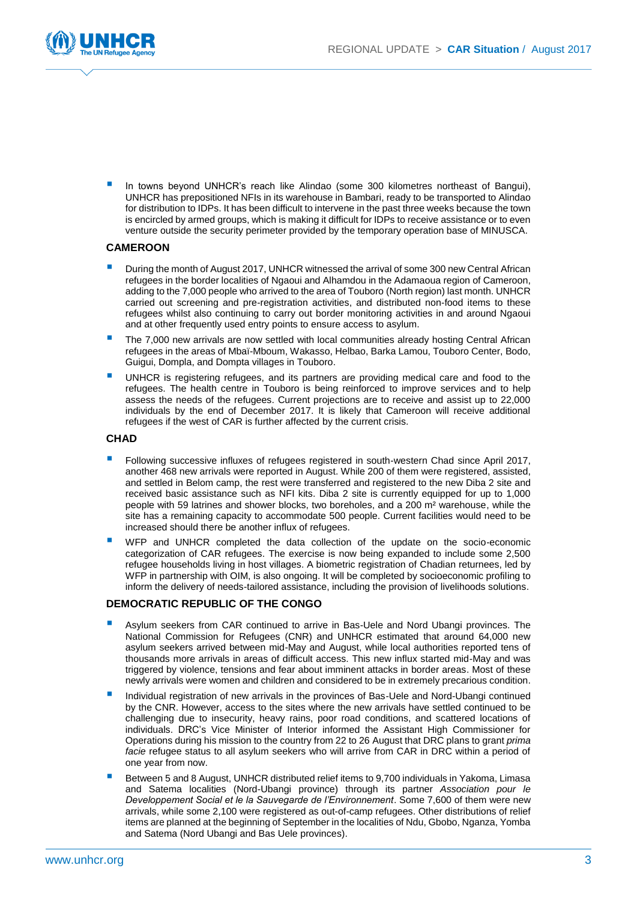

 In towns beyond UNHCR's reach like Alindao (some 300 kilometres northeast of Bangui), UNHCR has prepositioned NFIs in its warehouse in Bambari, ready to be transported to Alindao for distribution to IDPs. It has been difficult to intervene in the past three weeks because the town is encircled by armed groups, which is making it difficult for IDPs to receive assistance or to even venture outside the security perimeter provided by the temporary operation base of MINUSCA.

#### **CAMEROON**

- During the month of August 2017, UNHCR witnessed the arrival of some 300 new Central African refugees in the border localities of Ngaoui and Alhamdou in the Adamaoua region of Cameroon, adding to the 7,000 people who arrived to the area of Touboro (North region) last month. UNHCR carried out screening and pre-registration activities, and distributed non-food items to these refugees whilst also continuing to carry out border monitoring activities in and around Ngaoui and at other frequently used entry points to ensure access to asylum.
- The 7,000 new arrivals are now settled with local communities already hosting Central African refugees in the areas of Mbaï-Mboum, Wakasso, Helbao, Barka Lamou, Touboro Center, Bodo, Guigui, Dompla, and Dompta villages in Touboro.
- UNHCR is registering refugees, and its partners are providing medical care and food to the refugees. The health centre in Touboro is being reinforced to improve services and to help assess the needs of the refugees. Current projections are to receive and assist up to 22,000 individuals by the end of December 2017. It is likely that Cameroon will receive additional refugees if the west of CAR is further affected by the current crisis.

#### **CHAD**

- Following successive influxes of refugees registered in south-western Chad since April 2017, another 468 new arrivals were reported in August. While 200 of them were registered, assisted, and settled in Belom camp, the rest were transferred and registered to the new Diba 2 site and received basic assistance such as NFI kits. Diba 2 site is currently equipped for up to 1,000 people with 59 latrines and shower blocks, two boreholes, and a 200 m² warehouse, while the site has a remaining capacity to accommodate 500 people. Current facilities would need to be increased should there be another influx of refugees.
- WFP and UNHCR completed the data collection of the update on the socio-economic categorization of CAR refugees. The exercise is now being expanded to include some 2,500 refugee households living in host villages. A biometric registration of Chadian returnees, led by WFP in partnership with OIM, is also ongoing. It will be completed by socioeconomic profiling to inform the delivery of needs-tailored assistance, including the provision of livelihoods solutions.

#### **DEMOCRATIC REPUBLIC OF THE CONGO**

- Asylum seekers from CAR continued to arrive in Bas-Uele and Nord Ubangi provinces. The National Commission for Refugees (CNR) and UNHCR estimated that around 64,000 new asylum seekers arrived between mid-May and August, while local authorities reported tens of thousands more arrivals in areas of difficult access. This new influx started mid-May and was triggered by violence, tensions and fear about imminent attacks in border areas. Most of these newly arrivals were women and children and considered to be in extremely precarious condition.
- Individual registration of new arrivals in the provinces of Bas-Uele and Nord-Ubangi continued by the CNR. However, access to the sites where the new arrivals have settled continued to be challenging due to insecurity, heavy rains, poor road conditions, and scattered locations of individuals. DRC's Vice Minister of Interior informed the Assistant High Commissioner for Operations during his mission to the country from 22 to 26 August that DRC plans to grant *prima facie* refugee status to all asylum seekers who will arrive from CAR in DRC within a period of one year from now.
- Between 5 and 8 August, UNHCR distributed relief items to 9,700 individuals in Yakoma, Limasa and Satema localities (Nord-Ubangi province) through its partner *Association pour le Developpement Social et le la Sauvegarde de l'Environnement*. Some 7,600 of them were new arrivals, while some 2,100 were registered as out-of-camp refugees. Other distributions of relief items are planned at the beginning of September in the localities of Ndu, Gbobo, Nganza, Yomba and Satema (Nord Ubangi and Bas Uele provinces).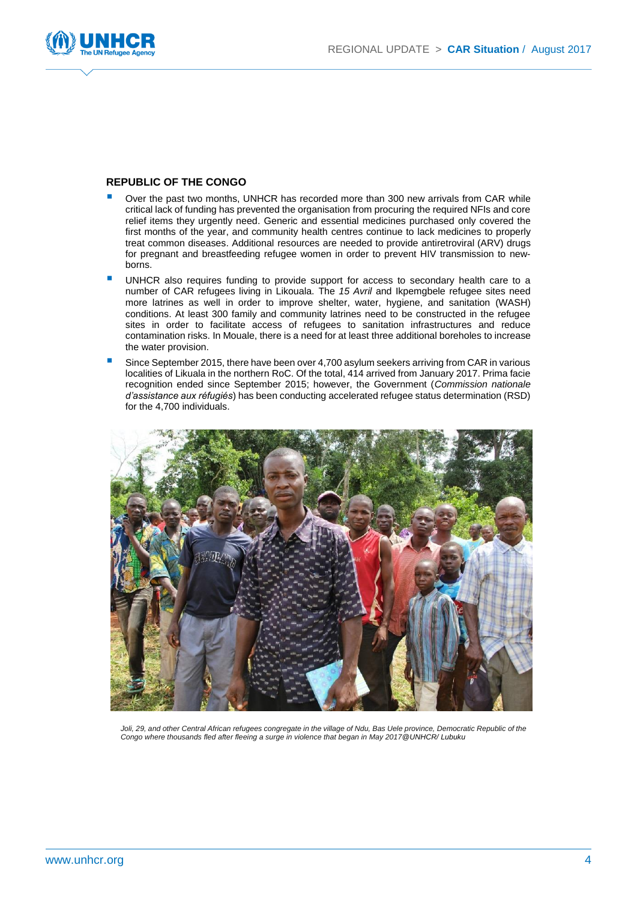

#### **REPUBLIC OF THE CONGO**

- Over the past two months, UNHCR has recorded more than 300 new arrivals from CAR while critical lack of funding has prevented the organisation from procuring the required NFIs and core relief items they urgently need. Generic and essential medicines purchased only covered the first months of the year, and community health centres continue to lack medicines to properly treat common diseases. Additional resources are needed to provide antiretroviral (ARV) drugs for pregnant and breastfeeding refugee women in order to prevent HIV transmission to newborns.
- UNHCR also requires funding to provide support for access to secondary health care to a number of CAR refugees living in Likouala. The *15 Avril* and Ikpemgbele refugee sites need more latrines as well in order to improve shelter, water, hygiene, and sanitation (WASH) conditions. At least 300 family and community latrines need to be constructed in the refugee sites in order to facilitate access of refugees to sanitation infrastructures and reduce contamination risks. In Mouale, there is a need for at least three additional boreholes to increase the water provision.
- Since September 2015, there have been over 4,700 asylum seekers arriving from CAR in various localities of Likuala in the northern RoC. Of the total, 414 arrived from January 2017. Prima facie recognition ended since September 2015; however, the Government (*Commission nationale d'assistance aux réfugiés*) has been conducting accelerated refugee status determination (RSD) for the 4,700 individuals.



Joli, 29, and other Central African refugees congregate in the village of Ndu, Bas Uele province, Democratic Republic of the *Congo where thousands fled after fleeing a surge in violence that began in May 2017@UNHCR/ Lubuku*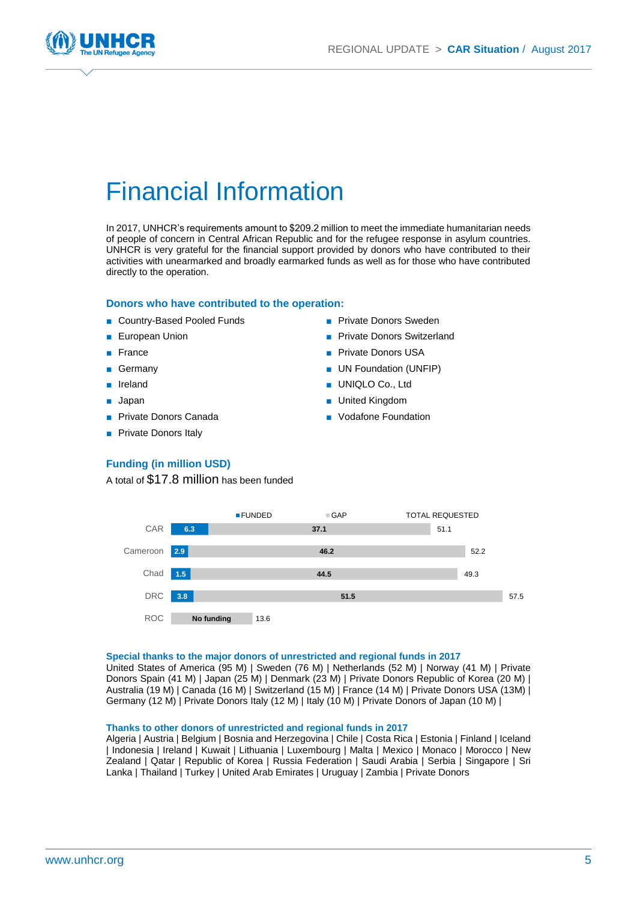

# Financial Information

In 2017, UNHCR's requirements amount to \$209.2 million to meet the immediate humanitarian needs of people of concern in Central African Republic and for the refugee response in asylum countries. UNHCR is very grateful for the financial support provided by donors who have contributed to their activities with unearmarked and broadly earmarked funds as well as for those who have contributed directly to the operation.

#### **Donors who have contributed to the operation:**

- Country-Based Pooled Funds
- European Union
- **France**
- **Germany**
- **Ireland**
- Japan
- Private Donors Canada
- Private Donors Italy
- Private Donors Sweden
- **Private Donors Switzerland**
- Private Donors USA
- UN Foundation (UNFIP)
- UNIQLO Co., Ltd
- United Kingdom
- Vodafone Foundation

#### **Funding (in million USD)**

A total of \$17.8 million has been funded



#### **Special thanks to the major donors of unrestricted and regional funds in 2017**

United States of America (95 M) | Sweden (76 M) | Netherlands (52 M) | Norway (41 M) | Private Donors Spain (41 M) | Japan (25 M) | Denmark (23 M) | Private Donors Republic of Korea (20 M) | Australia (19 M) | Canada (16 M) | Switzerland (15 M) | France (14 M) | Private Donors USA (13M) | Germany (12 M) | Private Donors Italy (12 M) | Italy (10 M) | Private Donors of Japan (10 M) |

#### **Thanks to other donors of unrestricted and regional funds in 2017**

Algeria | Austria | Belgium | Bosnia and Herzegovina | Chile | Costa Rica | Estonia | Finland | Iceland | Indonesia | Ireland | Kuwait | Lithuania | Luxembourg | Malta | Mexico | Monaco | Morocco | New Zealand | Qatar | Republic of Korea | Russia Federation | Saudi Arabia | Serbia | Singapore | Sri Lanka | Thailand | Turkey | United Arab Emirates | Uruguay | Zambia | Private Donors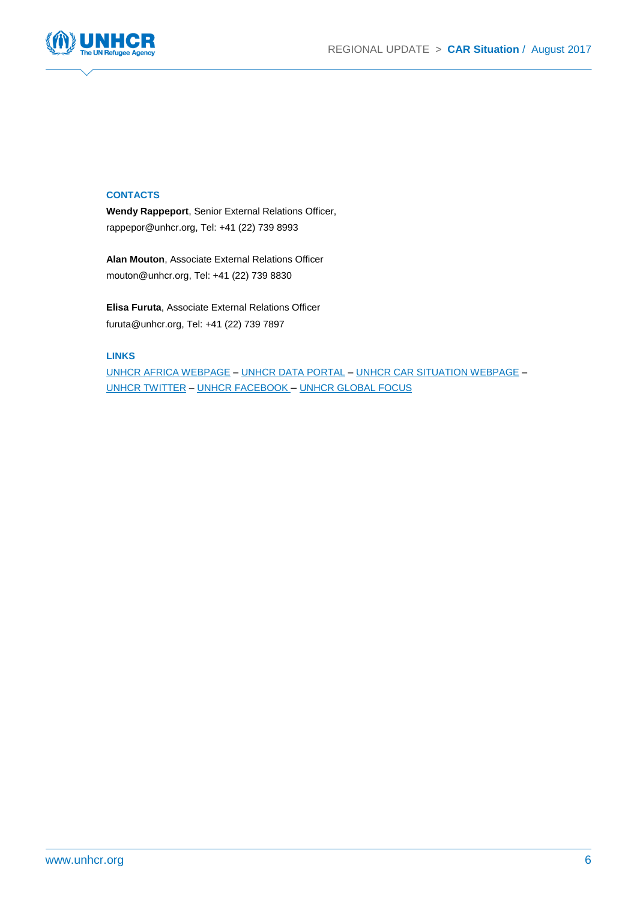

#### **CONTACTS**

**Wendy Rappeport**, Senior External Relations Officer, rappepor@unhcr.org, Tel: +41 (22) 739 8993

**Alan Mouton**, Associate External Relations Officer mouton@unhcr.org, Tel: +41 (22) 739 8830

**Elisa Furuta**, Associate External Relations Officer furuta@unhcr.org, Tel: +41 (22) 739 7897

#### **LINKS**

[UNHCR AFRICA WEBPAGE](http://www.unhcr.org/africa.html) – [UNHCR DATA PORTAL](http://data.unhcr.org/car/regional.php) – [UNHCR CAR SITUATION WEBPAGE](http://www.unhcr.org/car-emergency.html) – [UNHCR TWITTER](https://twitter.com/refugees) – [UNHCR FACEBOOK](https://www.facebook.com/UNHCR) – [UNHCR GLOBAL FOCUS](http://www.reporting.unhcr.org/)